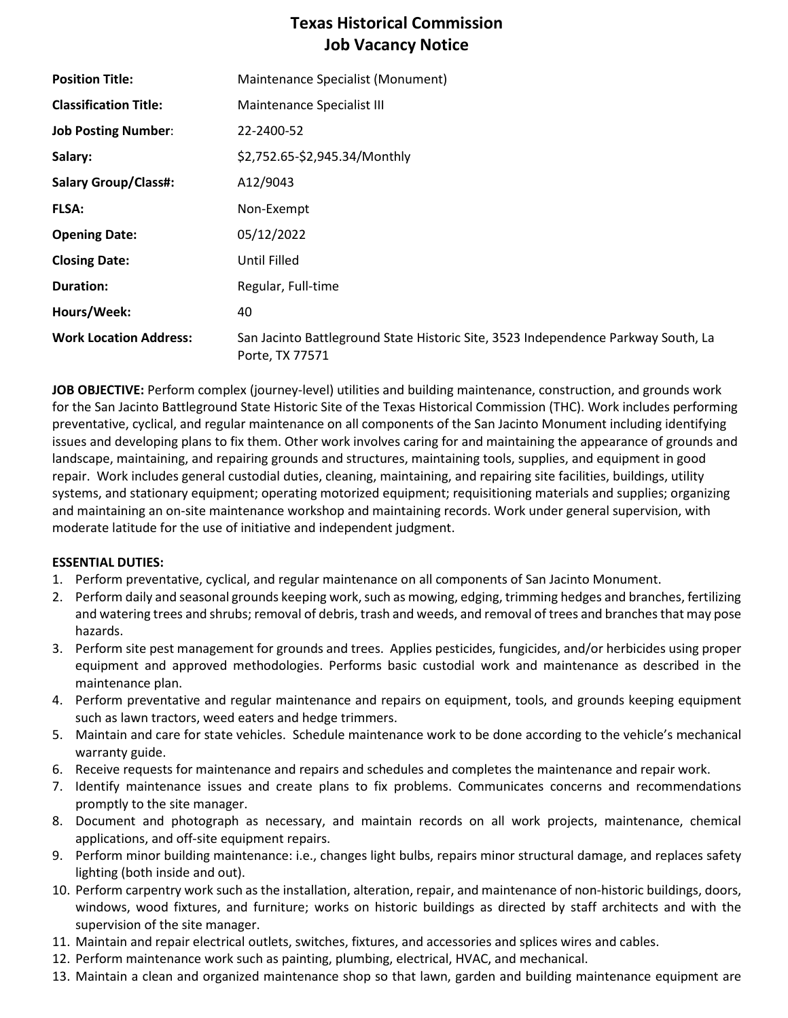# **Texas Historical Commission Job Vacancy Notice**

| <b>Position Title:</b>        | Maintenance Specialist (Monument)                                                                    |
|-------------------------------|------------------------------------------------------------------------------------------------------|
| <b>Classification Title:</b>  | Maintenance Specialist III                                                                           |
| <b>Job Posting Number:</b>    | 22-2400-52                                                                                           |
| Salary:                       | \$2,752.65-\$2,945.34/Monthly                                                                        |
| <b>Salary Group/Class#:</b>   | A12/9043                                                                                             |
| <b>FLSA:</b>                  | Non-Exempt                                                                                           |
| <b>Opening Date:</b>          | 05/12/2022                                                                                           |
| <b>Closing Date:</b>          | Until Filled                                                                                         |
| <b>Duration:</b>              | Regular, Full-time                                                                                   |
| Hours/Week:                   | 40                                                                                                   |
| <b>Work Location Address:</b> | San Jacinto Battleground State Historic Site, 3523 Independence Parkway South, La<br>Porte, TX 77571 |

**JOB OBJECTIVE:** Perform complex (journey-level) utilities and building maintenance, construction, and grounds work for the San Jacinto Battleground State Historic Site of the Texas Historical Commission (THC). Work includes performing preventative, cyclical, and regular maintenance on all components of the San Jacinto Monument including identifying issues and developing plans to fix them. Other work involves caring for and maintaining the appearance of grounds and landscape, maintaining, and repairing grounds and structures, maintaining tools, supplies, and equipment in good repair. Work includes general custodial duties, cleaning, maintaining, and repairing site facilities, buildings, utility systems, and stationary equipment; operating motorized equipment; requisitioning materials and supplies; organizing and maintaining an on-site maintenance workshop and maintaining records. Work under general supervision, with moderate latitude for the use of initiative and independent judgment.

#### **ESSENTIAL DUTIES:**

- 1. Perform preventative, cyclical, and regular maintenance on all components of San Jacinto Monument.
- 2. Perform daily and seasonal grounds keeping work, such as mowing, edging, trimming hedges and branches, fertilizing and watering trees and shrubs; removal of debris, trash and weeds, and removal of trees and branches that may pose hazards.
- 3. Perform site pest management for grounds and trees. Applies pesticides, fungicides, and/or herbicides using proper equipment and approved methodologies. Performs basic custodial work and maintenance as described in the maintenance plan.
- 4. Perform preventative and regular maintenance and repairs on equipment, tools, and grounds keeping equipment such as lawn tractors, weed eaters and hedge trimmers.
- 5. Maintain and care for state vehicles. Schedule maintenance work to be done according to the vehicle's mechanical warranty guide.
- 6. Receive requests for maintenance and repairs and schedules and completes the maintenance and repair work.
- 7. Identify maintenance issues and create plans to fix problems. Communicates concerns and recommendations promptly to the site manager.
- 8. Document and photograph as necessary, and maintain records on all work projects, maintenance, chemical applications, and off-site equipment repairs.
- 9. Perform minor building maintenance: i.e., changes light bulbs, repairs minor structural damage, and replaces safety lighting (both inside and out).
- 10. Perform carpentry work such as the installation, alteration, repair, and maintenance of non-historic buildings, doors, windows, wood fixtures, and furniture; works on historic buildings as directed by staff architects and with the supervision of the site manager.
- 11. Maintain and repair electrical outlets, switches, fixtures, and accessories and splices wires and cables.
- 12. Perform maintenance work such as painting, plumbing, electrical, HVAC, and mechanical.
- 13. Maintain a clean and organized maintenance shop so that lawn, garden and building maintenance equipment are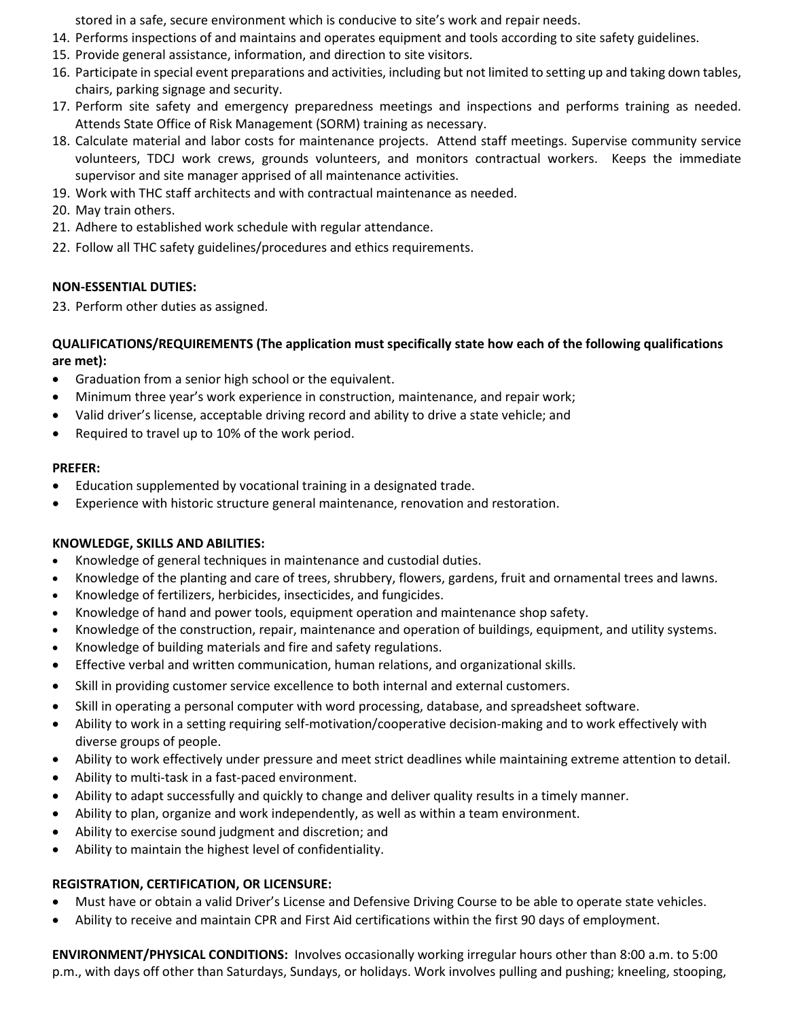stored in a safe, secure environment which is conducive to site's work and repair needs.

- 14. Performs inspections of and maintains and operates equipment and tools according to site safety guidelines.
- 15. Provide general assistance, information, and direction to site visitors.
- 16. Participate in special event preparations and activities, including but not limited to setting up and taking down tables, chairs, parking signage and security.
- 17. Perform site safety and emergency preparedness meetings and inspections and performs training as needed. Attends State Office of Risk Management (SORM) training as necessary.
- 18. Calculate material and labor costs for maintenance projects. Attend staff meetings. Supervise community service volunteers, TDCJ work crews, grounds volunteers, and monitors contractual workers. Keeps the immediate supervisor and site manager apprised of all maintenance activities.
- 19. Work with THC staff architects and with contractual maintenance as needed.
- 20. May train others.
- 21. Adhere to established work schedule with regular attendance.
- 22. Follow all THC safety guidelines/procedures and ethics requirements.

### **NON-ESSENTIAL DUTIES:**

23. Perform other duties as assigned.

#### **QUALIFICATIONS/REQUIREMENTS (The application must specifically state how each of the following qualifications are met):**

- Graduation from a senior high school or the equivalent.
- Minimum three year's work experience in construction, maintenance, and repair work;
- Valid driver's license, acceptable driving record and ability to drive a state vehicle; and
- Required to travel up to 10% of the work period.

#### **PREFER:**

- Education supplemented by vocational training in a designated trade.
- Experience with historic structure general maintenance, renovation and restoration.

## **KNOWLEDGE, SKILLS AND ABILITIES:**

- Knowledge of general techniques in maintenance and custodial duties.
- Knowledge of the planting and care of trees, shrubbery, flowers, gardens, fruit and ornamental trees and lawns.
- Knowledge of fertilizers, herbicides, insecticides, and fungicides.
- Knowledge of hand and power tools, equipment operation and maintenance shop safety.
- Knowledge of the construction, repair, maintenance and operation of buildings, equipment, and utility systems.
- Knowledge of building materials and fire and safety regulations.
- Effective verbal and written communication, human relations, and organizational skills.
- Skill in providing customer service excellence to both internal and external customers.
- Skill in operating a personal computer with word processing, database, and spreadsheet software.
- Ability to work in a setting requiring self-motivation/cooperative decision-making and to work effectively with diverse groups of people.
- Ability to work effectively under pressure and meet strict deadlines while maintaining extreme attention to detail.
- Ability to multi-task in a fast-paced environment.
- Ability to adapt successfully and quickly to change and deliver quality results in a timely manner.
- Ability to plan, organize and work independently, as well as within a team environment.
- Ability to exercise sound judgment and discretion; and
- Ability to maintain the highest level of confidentiality.

## **REGISTRATION, CERTIFICATION, OR LICENSURE:**

- Must have or obtain a valid Driver's License and Defensive Driving Course to be able to operate state vehicles.
- Ability to receive and maintain CPR and First Aid certifications within the first 90 days of employment.

**ENVIRONMENT/PHYSICAL CONDITIONS:** Involves occasionally working irregular hours other than 8:00 a.m. to 5:00 p.m., with days off other than Saturdays, Sundays, or holidays. Work involves pulling and pushing; kneeling, stooping,